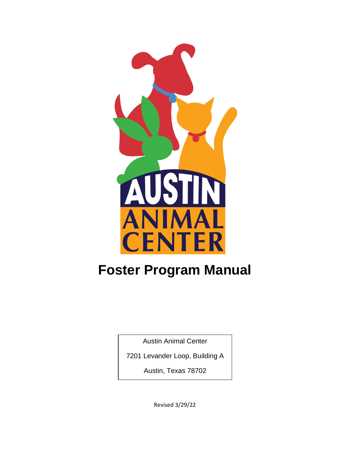

# **Foster Program Manual**

Austin Animal Center

7201 Levander Loop, Building A

Austin, Texas 78702

Revised 3/29/22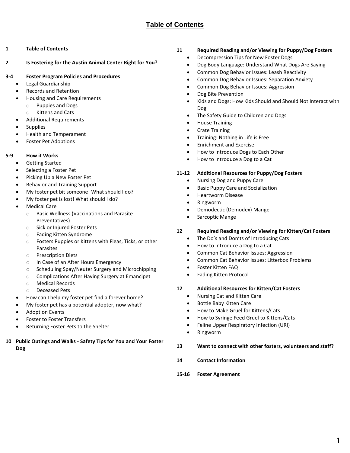## **Table of Contents**

- <span id="page-1-0"></span>**1 [Table of Contents](#page-1-0)**
- **2 [Is Fostering for the Austin Animal Center Right for You?](#page-2-0)**

#### **3-4 [Foster Program Policies and Procedures](#page-3-0)**

- Legal Guardianship
- Records and Retention
- Housing and Care Requirements
	- o Puppies and Dogs
	- o Kittens and Cats
- Additional Requirements
- **Supplies**
- Health and Temperament
- Foster Pet Adoptions

## **5-9 [How it Works](#page-4-0)**

- Getting Started
- Selecting a Foster Pet
- Picking Up a New Foster Pet
- Behavior and Training Support
- My foster pet bit someone! What should I do?
- My foster pet is lost! What should I do?
- **Medical Care** 
	- o Basic Wellness (Vaccinations and Parasite Preventatives)
	- o Sick or Injured Foster Pets
	- o Fading Kitten Syndrome
	- o Fosters Puppies or Kittens with Fleas, Ticks, or other Parasites
	- o Prescription Diets
	- o In Case of an After Hours Emergency
	- o Scheduling Spay/Neuter Surgery and Microchipping
	- o Complications After Having Surgery at Emancipet
	- o Medical Records
	- o Deceased Pets
- How can I help my foster pet find a forever home?
- My foster pet has a potential adopter, now what?
- Adoption Events
- Foster to Foster Transfers
- Returning Foster Pets to the Shelter
- **10 Public Outings and Walks - [Safety Tips for You and Your Foster](#page-9-0)  [Dog](#page-9-0)**

## **11 [Required Reading and/or Viewing for Puppy/Dog Fosters](#page-10-0)**

- Decompression Tips for New Foster Dogs
- Dog Body Language: Understand What Dogs Are Saying
- Common Dog Behavior Issues: Leash Reactivity
- Common Dog Behavior Issues: Separation Anxiety
- Common Dog Behavior Issues: Aggression
- Dog Bite Prevention
- Kids and Dogs: How Kids Should and Should Not Interact with Dog
- The Safety Guide to Children and Dogs
- House Training
- Crate Training
- Training: Nothing in Life is Free
- Enrichment and Exercise
- How to Introduce Dogs to Each Other
- How to Introduce a Dog to a Cat

#### **11-12 [Additional Resources for Puppy/Dog Fosters](#page-11-0)**

- Nursing Dog and Puppy Care
- Basic Puppy Care and Socialization
- Heartworm Disease
- Ringworm
- Demodectic (Demodex) Mange
- Sarcoptic Mange

## **12 [Required Reading and/or Viewing for Kitten/Cat Fosters](#page-12-0)**

- The Do's and Don'ts of Introducing Cats
- How to Introduce a Dog to a Cat
- Common Cat Behavior Issues: Aggression
- Common Cat Behavior Issues: Litterbox Problems
- Foster Kitten FAQ
- Fading Kitten Protocol

#### **12 [Additional Resources for Kitten/Cat Fosters](#page-12-1)**

- Nursing Cat and Kitten Care
- Bottle Baby Kitten Care
- How to Make Gruel for Kittens/Cats
- How to Syringe Feed Gruel to Kittens/Cats
- Feline Upper Respiratory Infection (URI)
- Ringworm
- **13 [Want to connect with other fosters,](#page-13-0) volunteers and staff?**
- **14 [Contact Information](#page-14-0)**
- **15-16 Foster Agreement**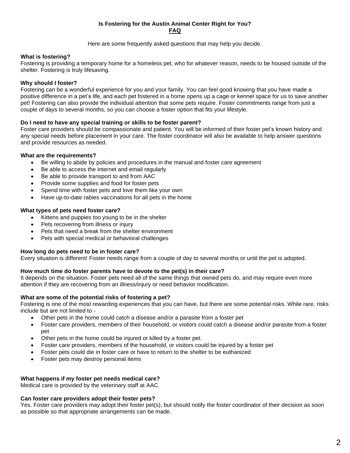## **Is Fostering for the Austin Animal Center Right for You? FAQ**

Here are some frequently asked questions that may help you decide.

## <span id="page-2-0"></span>**What is fostering?**

Fostering is providing a temporary home for a homeless pet, who for whatever reason, needs to be housed outside of the shelter. Fostering is truly lifesaving.

## **Why should I foster?**

Fostering can be a wonderful experience for you and your family. You can feel good knowing that you have made a positive difference in a pet's life, and each pet fostered in a home opens up a cage or kennel space for us to save another pet! Fostering can also provide the individual attention that some pets require. Foster commitments range from just a couple of days to several months, so you can choose a foster option that fits your lifestyle.

## **Do I need to have any special training or skills to be foster parent?**

Foster care providers should be compassionate and patient. You will be informed of their foster pet's known history and any special needs before placement in your care. The foster coordinator will also be available to help answer questions and provide resources as needed.

## **What are the requirements?**

- Be willing to abide by policies and procedures in the manual and foster care agreement
- Be able to access the internet and email regularly
- Be able to provide transport to and from AAC
- Provide some supplies and food for foster pets
- Spend time with foster pets and love them like your own
- Have up-to-date rabies vaccinations for all pets in the home

## **What types of pets need foster care?**

- Kittens and puppies too young to be in the shelter
- Pets recovering from illness or injury
- Pets that need a break from the shelter environment
- Pets with special medical or behavioral challenges

## **How long do pets need to be in foster care?**

Every situation is different! Foster needs range from a couple of day to several months or until the pet is adopted.

## **How much time do foster parents have to devote to the pet(s) in their care?**

It depends on the situation. Foster pets need all of the same things that owned pets do, and may require even more attention if they are recovering from an illness/injury or need behavior modification.

## **What are some of the potential risks of fostering a pet?**

Fostering is one of the most rewarding experiences that you can have, but there are some potential risks. While rare, risks include but are not limited to -

- Other pets in the home could catch a disease and/or a parasite from a foster pet
- Foster care providers, members of their household, or visitors could catch a disease and/or parasite from a foster pet
- Other pets in the home could be injured or killed by a foster pet.
- Foster care providers, members of the household, or visitors could be injured by a foster pet
- Foster pets could die in foster care or have to return to the shelter to be euthanized
- Foster pets may destroy personal items

## **What happens if my foster pet needs medical care?**

Medical care is provided by the veterinary staff at AAC.

## **Can foster care providers adopt their foster pets?**

Yes. Foster care providers may adopt their foster pet(s), but should notify the foster coordinator of their decision as soon as possible so that appropriate arrangements can be made.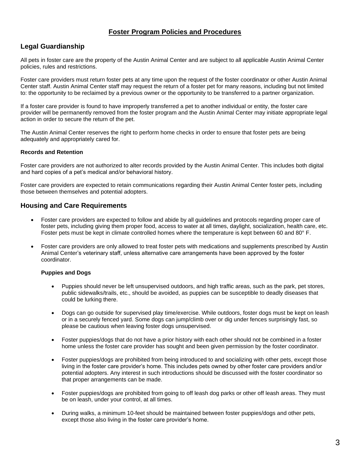## **Foster Program Policies and Procedures**

## <span id="page-3-0"></span>**Legal Guardianship**

All pets in foster care are the property of the Austin Animal Center and are subject to all applicable Austin Animal Center policies, rules and restrictions.

Foster care providers must return foster pets at any time upon the request of the foster coordinator or other Austin Animal Center staff. Austin Animal Center staff may request the return of a foster pet for many reasons, including but not limited to: the opportunity to be reclaimed by a previous owner or the opportunity to be transferred to a partner organization.

If a foster care provider is found to have improperly transferred a pet to another individual or entity, the foster care provider will be permanently removed from the foster program and the Austin Animal Center may initiate appropriate legal action in order to secure the return of the pet.

The Austin Animal Center reserves the right to perform home checks in order to ensure that foster pets are being adequately and appropriately cared for.

## **Records and Retention**

Foster care providers are not authorized to alter records provided by the Austin Animal Center. This includes both digital and hard copies of a pet's medical and/or behavioral history.

Foster care providers are expected to retain communications regarding their Austin Animal Center foster pets, including those between themselves and potential adopters.

## **Housing and Care Requirements**

- Foster care providers are expected to follow and abide by all guidelines and protocols regarding proper care of foster pets, including giving them proper food, access to water at all times, daylight, socialization, health care, etc. Foster pets must be kept in climate controlled homes where the temperature is kept between 60 and 80° F.
- Foster care providers are only allowed to treat foster pets with medications and supplements prescribed by Austin Animal Center's veterinary staff, unless alternative care arrangements have been approved by the foster coordinator.

## **Puppies and Dogs**

- Puppies should never be left unsupervised outdoors, and high traffic areas, such as the park, pet stores, public sidewalks/trails, etc., should be avoided, as puppies can be susceptible to deadly diseases that could be lurking there.
- Dogs can go outside for supervised play time/exercise. While outdoors, foster dogs must be kept on leash or in a securely fenced yard. Some dogs can jump/climb over or dig under fences surprisingly fast, so please be cautious when leaving foster dogs unsupervised.
- Foster puppies/dogs that do not have a prior history with each other should not be combined in a foster home unless the foster care provider has sought and been given permission by the foster coordinator.
- Foster puppies/dogs are prohibited from being introduced to and socializing with other pets, except those living in the foster care provider's home. This includes pets owned by other foster care providers and/or potential adopters. Any interest in such introductions should be discussed with the foster coordinator so that proper arrangements can be made.
- Foster puppies/dogs are prohibited from going to off leash dog parks or other off leash areas. They must be on leash, under your control, at all times.
- During walks, a minimum 10-feet should be maintained between foster puppies/dogs and other pets, except those also living in the foster care provider's home.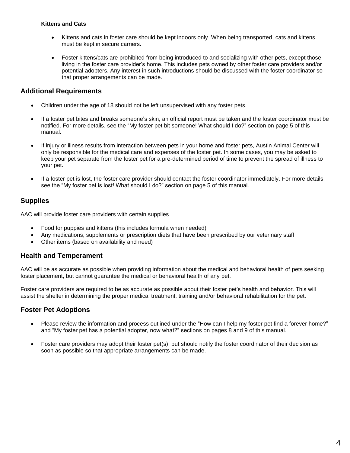## **Kittens and Cats**

- Kittens and cats in foster care should be kept indoors only. When being transported, cats and kittens must be kept in secure carriers.
- Foster kittens/cats are prohibited from being introduced to and socializing with other pets, except those living in the foster care provider's home. This includes pets owned by other foster care providers and/or potential adopters. Any interest in such introductions should be discussed with the foster coordinator so that proper arrangements can be made.

## **Additional Requirements**

- Children under the age of 18 should not be left unsupervised with any foster pets.
- If a foster pet bites and breaks someone's skin, an official report must be taken and the foster coordinator must be notified. For more details, see the "My foster pet bit someone! What should I do?" section on page 5 of this manual.
- If injury or illness results from interaction between pets in your home and foster pets, Austin Animal Center will only be responsible for the medical care and expenses of the foster pet. In some cases, you may be asked to keep your pet separate from the foster pet for a pre-determined period of time to prevent the spread of illness to your pet.
- If a foster pet is lost, the foster care provider should contact the foster coordinator immediately. For more details, see the "My foster pet is lost! What should I do?" section on page 5 of this manual.

## **Supplies**

AAC will provide foster care providers with certain supplies

- Food for puppies and kittens (this includes formula when needed)
- Any medications, supplements or prescription diets that have been prescribed by our veterinary staff
- Other items (based on availability and need)

## **Health and Temperament**

AAC will be as accurate as possible when providing information about the medical and behavioral health of pets seeking foster placement, but cannot guarantee the medical or behavioral health of any pet.

Foster care providers are required to be as accurate as possible about their foster pet's health and behavior. This will assist the shelter in determining the proper medical treatment, training and/or behavioral rehabilitation for the pet.

## **Foster Pet Adoptions**

- Please review the information and process outlined under the "How can I help my foster pet find a forever home?" and "My foster pet has a potential adopter, now what?" sections on pages 8 and 9 of this manual.
- <span id="page-4-0"></span>• Foster care providers may adopt their foster pet(s), but should notify the foster coordinator of their decision as soon as possible so that appropriate arrangements can be made.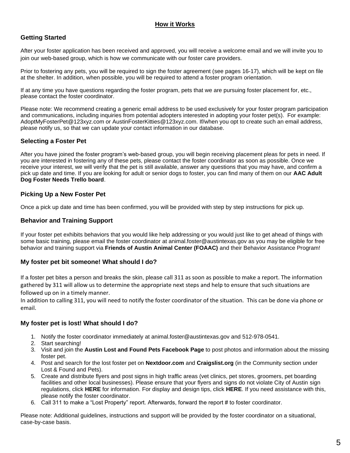## **How it Works**

## **Getting Started**

After your foster application has been received and approved, you will receive a welcome email and we will invite you to join our web-based group, which is how we communicate with our foster care providers.

Prior to fostering any pets, you will be required to sign the foster agreement (see pages 16-17), which will be kept on file at the shelter. In addition, when possible, you will be required to attend a foster program orientation.

If at any time you have questions regarding the foster program, pets that we are pursuing foster placement for, etc., please contact the foster coordinator.

Please note: We recommend creating a generic email address to be used exclusively for your foster program participation and communications, including inquiries from potential adopters interested in adopting your foster pet(s). For example: AdoptMyFosterPet@123xyz.com or AustinFosterKitties@123xyz.com. If/when you opt to create such an email address, please notify us, so that we can update your contact information in our database.

## **Selecting a Foster Pet**

After you have joined the foster program's web-based group, you will begin receiving placement pleas for pets in need. If you are interested in fostering any of these pets, please contact the foster coordinator as soon as possible. Once we receive your interest, we will verify that the pet is still available, answer any questions that you may have, and confirm a pick up date and time. If you are looking for adult or senior dogs to foster, you can find many of them on our **[AAC Adult](https://trello.com/b/5uDfx2hm)  [Dog Foster Needs Trello board](https://trello.com/b/5uDfx2hm)**.

## **Picking Up a New Foster Pet**

Once a pick up date and time has been confirmed, you will be provided with step by step instructions for pick up.

## **Behavior and Training Support**

If your foster pet exhibits behaviors that you would like help addressing or you would just like to get ahead of things with some basic training, please email the foster coordinator at [animal.foster@austintexas.gov](mailto:animal.foster@austintexas.gov) as you may be eligible for free behavior and training support via **[Friends of Austin Animal Center \(FOAAC\)](https://gcc01.safelinks.protection.outlook.com/?url=http%3A%2F%2Ffriendsofaac.org%2F&data=04%7C01%7CRebekha.Montie%40austintexas.gov%7C5f512b8640164693138f08d8801bcf32%7C5c5e19f6a6ab4b45b1d0be4608a9a67f%7C0%7C0%7C637400204214794911%7CUnknown%7CTWFpbGZsb3d8eyJWIjoiMC4wLjAwMDAiLCJQIjoiV2luMzIiLCJBTiI6Ik1haWwiLCJXVCI6Mn0%3D%7C1000&sdata=8zMXLycpR5dI4rbXbWrzGpx3pZb8G%2FpPJ94B6rw%2By%2FU%3D&reserved=0)** and their Behavior Assistance Program!

## **My foster pet bit someone! What should I do?**

If a foster pet bites a person and breaks the skin, please call 311 as soon as possible to make a report. The information gathered by 311 will allow us to determine the appropriate next steps and help to ensure that such situations are followed up on in a timely manner.

In addition to calling 311, you will need to notify the foster coordinator of the situation. This can be done via phone or email.

## **My foster pet is lost! What should I do?**

- 1. Notify the foster coordinator immediately at [animal.foster@austintexas.gov](mailto:animal.foster@austintexas.gov) and 512-978-0541.
- 2. Start searching!
- 3. Visit and join the **[Austin Lost and Found Pets](https://www.facebook.com/groups/austinlostandfoundpets/) Facebook Page** to post photos and information about the missing foster pet.
- 4. Post and search for the lost foster pet on **[Nextdoor.com](https://nextdoor.com/)** and **[Craigslist.](http://austin.craigslist.org/)org** (in the Community section under Lost & Found and Pets).
- 5. Create and distribute flyers and post signs in high traffic areas (vet clinics, pet stores, groomers, pet boarding facilities and other local businesses). Please ensure that your flyers and signs do not violate City of Austin sign regulations, click **[HERE](https://library.municode.com/tx/austin/codes/code_of_ordinances?nodeId=TIT25LADE_CH25-10SIRE)** for information. For display and design tips, click **[HERE](https://missionreunite.org/posters-and-flyers)**. If you need assistance with this, please notify the foster coordinator.
- 6. Call 311 to make a "Lost Property" report. Afterwards, forward the report # to foster coordinator.

Please note: Additional guidelines, instructions and support will be provided by the foster coordinator on a situational, case-by-case basis.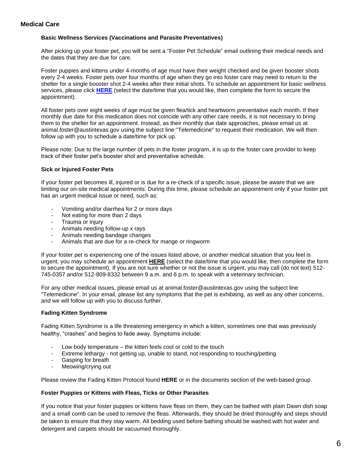## **Medical Care**

#### **Basic Wellness Services (Vaccinations and Parasite Preventatives)**

After picking up your foster pet, you will be sent a "Foster Pet Schedule" email outlining their medical needs and the dates that they are due for care.

Foster puppies and kittens under 4-months of age must have their weight checked and be given booster shots every 2-4 weeks. Foster pets over four months of age when they go into foster care may need to return to the shelter for a single booster shot 2-4 weeks after their initial shots. To schedule an appointment for basic wellness services, please click **[HERE](v2.waitwhile.com/book/foster-basicwellness)** (select the date/time that you would like, then complete the form to secure the appointment).

All foster pets over eight weeks of age must be given flea/tick and heartworm preventative each month. If their monthly due date for this medication does not coincide with any other care needs, it is not necessary to bring them to the shelter for an appointment. Instead, as their monthly due date approaches, please email us at animal.foster@austintexas.gov using the subject line "Telemedicine" to request their medication. We will then follow up with you to schedule a date/time for pick up.

Please note: Due to the large number of pets in the foster program, it is up to the foster care provider to keep track of their foster pet's booster shot and preventative schedule.

#### **Sick or Injured Foster Pets**

If your foster pet becomes ill, injured or is due for a re-check of a specific issue, please be aware that we are limiting our on-site medical appointments. During this time, please schedule an appointment only if your foster pet has an urgent medical issue or need, such as:

- Vomiting and/or diarrhea for 2 or more days
- Not eating for more than 2 days
- Trauma or injury
- Animals needing follow-up x rays
- Animals needing bandage changes
- Animals that are due for a re-check for mange or ringworm

If your foster pet is experiencing one of the issues listed above, or another medical situation that you feel is urgent, you may schedule an appointment **[HERE](v2.waitwhile.com/book/foster-medical)** (select the date/time that you would like, then complete the form to secure the appointment). If you are not sure whether or not the issue is urgent, you may call (do not text) 512- 745-0357 and/or 512-809-8332 between 9 a.m. and 6 p.m. to speak with a veterinary technician.

For any other medical issues, please email us at animal.foster@austintexas.gov using the subject line "Telemedicine". In your email, please list any symptoms that the pet is exhibiting, as well as any other concerns, and we will follow up with you to discuss further.

## **Fading Kitten Syndrome**

Fading Kitten Syndrome is a life threatening emergency in which a kitten, sometimes one that was previously healthy, "crashes" and begins to fade away. Symptoms include:

- Low body temperature the kitten feels cool or cold to the touch
- Extreme lethargy not getting up, unable to stand, not responding to touching/petting
- Gasping for breath
- Meowing/crying out

Please review the Fading Kitten Protocol found **[HERE](https://docs.google.com/document/d/1UGU51hRal0G30iYxi4w006McMp01W_fRwU46CXSm93A/edit?usp=sharing)** or in the documents section of the web-based group.

#### **Foster Puppies or Kittens with Fleas, Ticks or Other Parasites**

If you notice that your foster puppies or kittens have fleas on them, they can be bathed with plain Dawn dish soap and a small comb can be used to remove the fleas. Afterwards, they should be dried thoroughly and steps should be taken to ensure that they stay warm. All bedding used before bathing should be washed with hot water and detergent and carpets should be vacuumed thoroughly.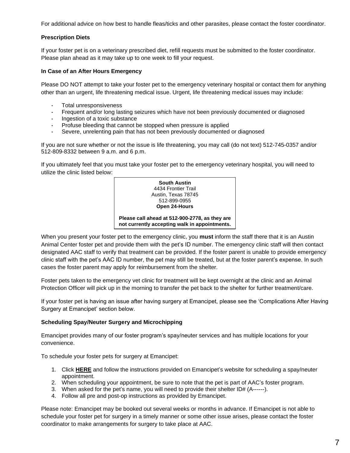For additional advice on how best to handle fleas/ticks and other parasites, please contact the foster coordinator.

#### **Prescription Diets**

If your foster pet is on a veterinary prescribed diet, refill requests must be submitted to the foster coordinator. Please plan ahead as it may take up to one week to fill your request.

#### **In Case of an After Hours Emergency**

Please DO NOT attempt to take your foster pet to the emergency veterinary hospital or contact them for anything other than an urgent, life threatening medical issue. Urgent, life threatening medical issues may include:

- Total unresponsiveness
- Frequent and/or long lasting seizures which have not been previously documented or diagnosed
- Ingestion of a toxic substance
- Profuse bleeding that cannot be stopped when pressure is applied
- Severe, unrelenting pain that has not been previously documented or diagnosed

If you are not sure whether or not the issue is life threatening, you may call (do not text) 512-745-0357 and/or 512-809-8332 between 9 a.m. and 6 p.m.

If you ultimately feel that you must take your foster pet to the emergency veterinary hospital, you will need to utilize the clinic listed below:



When you present your foster pet to the emergency clinic, you **must** inform the staff there that it is an Austin Animal Center foster pet and provide them with the pet's ID number. The emergency clinic staff will then contact designated AAC staff to verify that treatment can be provided. If the foster parent is unable to provide emergency clinic staff with the pet's AAC ID number, the pet may still be treated, but at the foster parent's expense. In such cases the foster parent may apply for reimbursement from the shelter.

Foster pets taken to the emergency vet clinic for treatment will be kept overnight at the clinic and an Animal Protection Officer will pick up in the morning to transfer the pet back to the shelter for further treatment/care.

If your foster pet is having an issue after having surgery at Emancipet, please see the 'Complications After Having Surgery at Emancipet' section below.

#### **Scheduling Spay/Neuter Surgery and Microchipping**

Emancipet provides many of our foster program's spay/neuter services and has multiple locations for your convenience.

To schedule your foster pets for surgery at Emancipet:

- 1. Click **[HERE](https://www.emancipet.org/appointments/)** and follow the instructions provided on Emancipet's website for scheduling a spay/neuter appointment.
- 2. When scheduling your appointment, be sure to note that the pet is part of AAC's foster program.
- 3. When asked for the pet's name, you will need to provide their shelter ID# (A------).
- 4. Follow all pre and post-op instructions as provided by Emancipet.

Please note: Emancipet may be booked out several weeks or months in advance. If Emancipet is not able to schedule your foster pet for surgery in a timely manner or some other issue arises, please contact the foster coordinator to make arrangements for surgery to take place at AAC.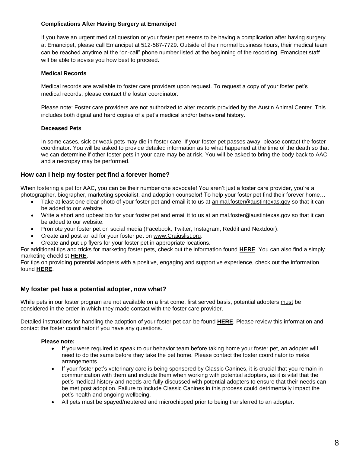## **Complications After Having Surgery at Emancipet**

If you have an urgent medical question or your foster pet seems to be having a complication after having surgery at Emancipet, please call Emancipet at 512-587-7729. Outside of their normal business hours, their medical team can be reached anytime at the "on-call" phone number listed at the beginning of the recording. Emancipet staff will be able to advise you how best to proceed.

## **Medical Records**

Medical records are available to foster care providers upon request. To request a copy of your foster pet's medical records, please contact the foster coordinator.

Please note: Foster care providers are not authorized to alter records provided by the Austin Animal Center. This includes both digital and hard copies of a pet's medical and/or behavioral history.

## **Deceased Pets**

In some cases, sick or weak pets may die in foster care. If your foster pet passes away, please contact the foster coordinator. You will be asked to provide detailed information as to what happened at the time of the death so that we can determine if other foster pets in your care may be at risk. You will be asked to bring the body back to AAC and a necropsy may be performed.

## **How can I help my foster pet find a forever home?**

When fostering a pet for AAC, you can be their number one advocate! You aren't just a foster care provider, you're a photographer, biographer, marketing specialist, and adoption counselor! To help your foster pet find their forever home…

- Take at least one clear photo of your foster pet and email it to us at [animal.foster@austintexas.gov](mailto:animal.foster@austintexas.gov) so that it can be added to our website.
- Write a short and upbeat bio for your foster pet and email it to us at [animal.foster@austintexas.gov](mailto:animal.foster@austintexas.gov) so that it can be added to our website.
- Promote your foster pet on social media (Facebook, Twitter, Instagram, Reddit and Nextdoor).
- Create and post an ad for your foster pet on [www.Craigslist.org.](https://gcc01.safelinks.protection.outlook.com/?url=http%3A%2F%2Fwww.craigslist.org%2F&data=04%7C01%7CRebekha.Montie%40austintexas.gov%7C59d17a60d7bc42c42c0e08d8707c49c7%7C5c5e19f6a6ab4b45b1d0be4608a9a67f%7C0%7C0%7C637383026398518593%7CUnknown%7CTWFpbGZsb3d8eyJWIjoiMC4wLjAwMDAiLCJQIjoiV2luMzIiLCJBTiI6Ik1haWwiLCJXVCI6Mn0%3D%7C1000&sdata=LIZ9%2F%2FpvRW0KdgpQajTu8GSzgdzg4FC%2Bv4UP%2FUO0oIc%3D&reserved=0)
- Create and put up flyers for your foster pet in appropriate locations.

For additional tips and tricks for marketing foster pets, check out the information found **[HERE](https://gcc01.safelinks.protection.outlook.com/?url=https%3A%2F%2Fwww.maddiesfund.org%2Fassets%2Fdocuments%2FInstitute%2FMarketing%2520Techniques%2520for%2520Adoption%2520from%2520Foster%2520Care%25208-14-17.pdf&data=04%7C01%7CRebekha.Montie%40austintexas.gov%7C59d17a60d7bc42c42c0e08d8707c49c7%7C5c5e19f6a6ab4b45b1d0be4608a9a67f%7C0%7C0%7C637383026398528545%7CUnknown%7CTWFpbGZsb3d8eyJWIjoiMC4wLjAwMDAiLCJQIjoiV2luMzIiLCJBTiI6Ik1haWwiLCJXVCI6Mn0%3D%7C1000&sdata=Vz46J9U5Vc4fCtPkdon8FNvZcF%2FFe7R573eatuXnyAk%3D&reserved=0)**. You can also find a simply marketing checklist **[HERE](https://drive.google.com/file/d/0B7Ts6ypyTOv-NFZyWUVZUE5TOEk/view?usp=sharing&resourcekey=0-uvl7CPoctYfupa5MhV2TKw)**.

For tips on providing potential adopters with a positive, engaging and supportive experience, check out the information found **[HERE](https://gcc01.safelinks.protection.outlook.com/?url=https%3A%2F%2Fwww.animalsheltering.org%2Fsites%2Fdefault%2Ffiles%2Fcontent%2Fadopters-welcome-guide-update%252003-02-17.pdf&data=04%7C01%7CRebekha.Montie%40austintexas.gov%7C59d17a60d7bc42c42c0e08d8707c49c7%7C5c5e19f6a6ab4b45b1d0be4608a9a67f%7C0%7C0%7C637383026398528545%7CUnknown%7CTWFpbGZsb3d8eyJWIjoiMC4wLjAwMDAiLCJQIjoiV2luMzIiLCJBTiI6Ik1haWwiLCJXVCI6Mn0%3D%7C1000&sdata=09kp4mvuRZ4BJWwo6i41yLfRDcpRGPJS%2BFxaklB%2FcT8%3D&reserved=0)**.

## **My foster pet has a potential adopter, now what?**

While pets in our foster program are not available on a first come, first served basis, potential adopters must be considered in the order in which they made contact with the foster care provider.

Detailed instructions for handling the adoption of your foster pet can be found **[HERE](https://drive.google.com/file/d/19Xqrtm85v4DszyBe8nyzrqgBdXQqmrg1/view?usp=sharing)**. Please review this information and contact the foster coordinator if you have any questions.

## **Please note:**

- If you were required to speak to our behavior team before taking home your foster pet, an adopter will need to do the same before they take the pet home. Please contact the foster coordinator to make arrangements.
- If your foster pet's veterinary care is being sponsored by Classic Canines, it is crucial that you remain in communication with them and include them when working with potential adopters, as it is vital that the pet's medical history and needs are fully discussed with potential adopters to ensure that their needs can be met post adoption. Failure to include Classic Canines in this process could detrimentally impact the pet's health and ongoing wellbeing.
- All pets must be spayed/neutered and microchipped prior to being transferred to an adopter.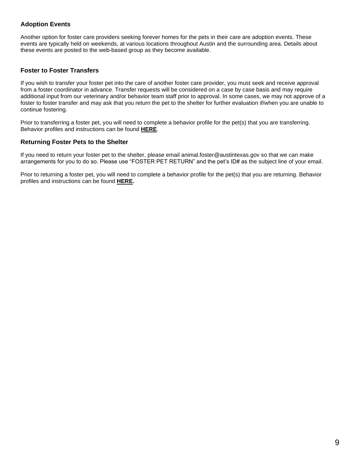## **Adoption Events**

Another option for foster care providers seeking forever homes for the pets in their care are adoption events. These events are typically held on weekends, at various locations throughout Austin and the surrounding area. Details about these events are posted to the web-based group as they become available.

## **Foster to Foster Transfers**

If you wish to transfer your foster pet into the care of another foster care provider, you must seek and receive approval from a foster coordinator in advance. Transfer requests will be considered on a case by case basis and may require additional input from our veterinary and/or behavior team staff prior to approval. In some cases, we may not approve of a foster to foster transfer and may ask that you return the pet to the shelter for further evaluation if/when you are unable to continue fostering.

Prior to transferring a foster pet, you will need to complete a behavior profile for the pet(s) that you are transferring. Behavior profiles and instructions can be found **[HERE](https://drive.google.com/drive/folders/1SN2d3loCdLp3R7usKR-BiY5IikJOQ6AB?usp=sharing)**.

## **Returning Foster Pets to the Shelter**

If you need to return your foster pet to the shelter, please email animal.foster@austintexas.gov so that we can make arrangements for you to do so. Please use "FOSTER PET RETURN" and the pet's ID# as the subject line of your email.

<span id="page-9-0"></span>Prior to returning a foster pet, you will need to complete a behavior profile for the pet(s) that you are returning. Behavior profiles and instructions can be found **[HERE.](https://drive.google.com/drive/folders/1SN2d3loCdLp3R7usKR-BiY5IikJOQ6AB?usp=sharing)**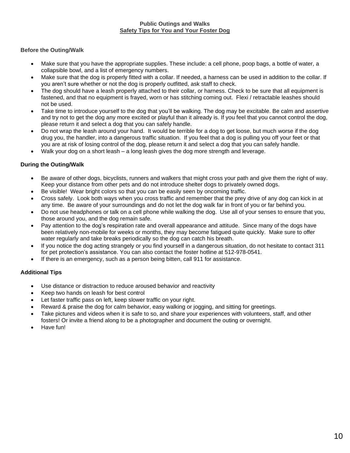## **Public Outings and Walks Safety Tips for You and Your Foster Dog**

## **Before the Outing/Walk**

- Make sure that you have the appropriate supplies. These include: a cell phone, poop bags, a bottle of water, a collapsible bowl, and a list of emergency numbers.
- Make sure that the dog is properly fitted with a collar. If needed, a harness can be used in addition to the collar. If you aren't sure whether or not the dog is properly outfitted, ask staff to check.
- The dog should have a leash properly attached to their collar, or harness. Check to be sure that all equipment is fastened, and that no equipment is frayed, worn or has stitching coming out. Flexi / retractable leashes should not be used.
- Take time to introduce yourself to the dog that you'll be walking. The dog may be excitable. Be calm and assertive and try not to get the dog any more excited or playful than it already is. If you feel that you cannot control the dog, please return it and select a dog that you can safely handle.
- Do not wrap the leash around your hand. It would be terrible for a dog to get loose, but much worse if the dog drug you, the handler, into a dangerous traffic situation. If you feel that a dog is pulling you off your feet or that you are at risk of losing control of the dog, please return it and select a dog that you can safely handle.
- Walk your dog on a short leash a long leash gives the dog more strength and leverage.

## **During the Outing/Walk**

- Be aware of other dogs, bicyclists, runners and walkers that might cross your path and give them the right of way. Keep your distance from other pets and do not introduce shelter dogs to privately owned dogs.
- Be visible! Wear bright colors so that you can be easily seen by oncoming traffic.
- Cross safely. Look both ways when you cross traffic and remember that the prey drive of any dog can kick in at any time. Be aware of your surroundings and do not let the dog walk far in front of you or far behind you.
- Do not use headphones or talk on a cell phone while walking the dog. Use all of your senses to ensure that you, those around you, and the dog remain safe.
- Pay attention to the dog's respiration rate and overall appearance and attitude. Since many of the dogs have been relatively non-mobile for weeks or months, they may become fatigued quite quickly. Make sure to offer water regularly and take breaks periodically so the dog can catch his breath.
- If you notice the dog acting strangely or you find yourself in a dangerous situation, do not hesitate to contact 311 for pet protection's assistance. You can also contact the foster hotline at 512-978-0541.
- If there is an emergency, such as a person being bitten, call 911 for assistance.

## **Additional Tips**

- Use distance or distraction to reduce aroused behavior and reactivity
- Keep two hands on leash for best control
- Let faster traffic pass on left, keep slower traffic on your right.
- Reward & praise the dog for calm behavior, easy walking or jogging, and sitting for greetings.
- Take pictures and videos when it is safe to so, and share your experiences with volunteers, staff, and other fosters! Or invite a friend along to be a photographer and document the outing or overnight.
- <span id="page-10-0"></span>• Have fun!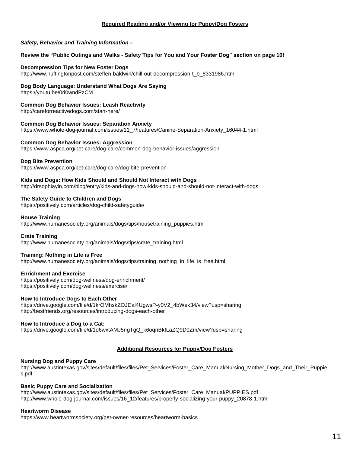#### **Required Reading and/or Viewing for Puppy/Dog Fosters**

#### *Safety, Behavior and Training Information –*

#### **Review the "Public Outings and Walks - Safety Tips for You and Your Foster Dog" section on page 10!**

#### **Decompression Tips for New Foster Dogs**

[http://www.huffingtonpost.com/steffen-baldwin/chill-out-decompression-t\\_b\\_8331986.html](http://www.huffingtonpost.com/steffen-baldwin/chill-out-decompression-t_b_8331986.html)

#### **Dog Body Language: Understand What Dogs Are Saying**

<https://youtu.be/0ri0wndPzCM>

#### **Common Dog Behavior Issues: Leash Reactivity**

<http://careforreactivedogs.com/start-here/>

**Common Dog Behavior Issues: Separation Anxiety** [https://www.whole-dog-journal.com/issues/11\\_7/features/Canine-Separation-Anxiety\\_16044-1.html](https://www.whole-dog-journal.com/issues/11_7/features/Canine-Separation-Anxiety_16044-1.html) 

**Common Dog Behavior Issues: Aggression** <https://www.aspca.org/pet-care/dog-care/common-dog-behavior-issues/aggression>

#### **Dog Bite Prevention**

<https://www.aspca.org/pet-care/dog-care/dog-bite-prevention>

#### **Kids and Dogs: How Kids Should and Should Not Interact with Dogs**

<http://drsophiayin.com/blog/entry/kids-and-dogs-how-kids-should-and-should-not-interact-with-dogs>

#### **The Safety Guide to Children and Dogs**

<https://positively.com/articles/dog-child-safetyguide/>

#### **House Training**

[http://www.humanesociety.org/animals/dogs/tips/housetraining\\_puppies.html](http://www.humanesociety.org/animals/dogs/tips/housetraining_puppies.html)

#### **Crate Training**

[http://www.humanesociety.org/animals/dogs/tips/crate\\_training.html](http://www.humanesociety.org/animals/dogs/tips/crate_training.html)

#### **Training: Nothing in Life is Free**

[http://www.humanesociety.org/animals/dogs/tips/training\\_nothing\\_in\\_life\\_is\\_free.html](http://www.humanesociety.org/animals/dogs/tips/training_nothing_in_life_is_free.html)

#### **Enrichment and Exercise**

https://positively.com/dog-wellness/dog-enrichment/ <https://positively.com/dog-wellness/exercise/>

#### **How to Introduce Dogs to Each Other**

[https://drive.google.com/file/d/1krOMhskZOJDal4UgwsP-y0V2\\_4bWek34/view?usp=sharing](https://drive.google.com/file/d/1krOMhskZOJDal4UgwsP-y0V2_4bWek34/view?usp=sharing) <http://bestfriends.org/resources/introducing-dogs-each-other>

#### <span id="page-11-0"></span>**How to Introduce a Dog to a Cat:**

[https://drive.google.com/file/d/1o6wxtAMJ5ngTgQ\\_k6oqnBkfLaZQ9D0Zm/view?usp=sharing](https://drive.google.com/file/d/1o6wxtAMJ5ngTgQ_k6oqnBkfLaZQ9D0Zm/view?usp=sharing)

#### **Additional Resources for Puppy/Dog Fosters**

#### **Nursing Dog and Puppy Care**

[http://www.austintexas.gov/sites/default/files/files/Pet\\_Services/Foster\\_Care\\_Manual/Nursing\\_Mother\\_Dogs\\_and\\_Their\\_Puppie](http://www.austintexas.gov/sites/default/files/files/Animal_Services/Foster_Care_Manual/Nursing_Mother_Dogs_and_Their_Puppies.pdf) [s.pdf](http://www.austintexas.gov/sites/default/files/files/Animal_Services/Foster_Care_Manual/Nursing_Mother_Dogs_and_Their_Puppies.pdf)

#### **Basic Puppy Care and Socialization**

[http://www.austintexas.gov/sites/default/files/files/Pet\\_Services/Foster\\_Care\\_Manual/PUPPIES.pdf](http://www.austintexas.gov/sites/default/files/files/Animal_Services/Foster_Care_Manual/PUPPIES.pdf) [http://www.whole-dog-journal.com/issues/16\\_12/features/properly-socializing-your-puppy\\_20878-1.html](http://www.whole-dog-journal.com/issues/16_12/features/properly-socializing-your-puppy_20878-1.html)

#### **Heartworm Disease**

<https://www.heartwormsociety.org/pet-owner-resources/heartworm-basics>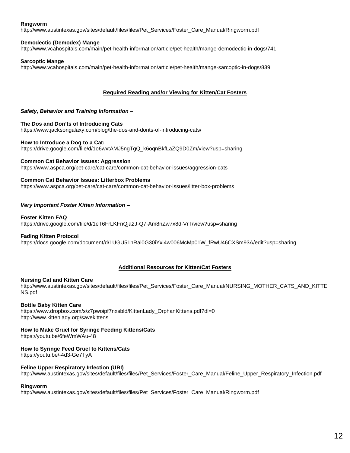#### **Ringworm**

[http://www.austintexas.gov/sites/default/files/files/Pet\\_Services/Foster\\_Care\\_Manual/Ringworm.pdf](http://www.austintexas.gov/sites/default/files/files/Animal_Services/Foster_Care_Manual/Ringworm.pdf)

#### **Demodectic (Demodex) Mange**

[http://www.vcahospitals.com/main/pet-health-information/article/pet-health/mange-demodectic-in-dogs/741](http://www.vcahospitals.com/main/pet-health-information/article/animal-health/mange-demodectic-in-dogs/741)

#### **Sarcoptic Mange**

<span id="page-12-0"></span>[http://www.vcahospitals.com/main/pet-health-information/article/pet-health/mange-sarcoptic-in-dogs/839](http://www.vcahospitals.com/main/pet-health-information/article/animal-health/mange-sarcoptic-in-dogs/839)

#### **Required Reading and/or Viewing for Kitten/Cat Fosters**

#### *Safety, Behavior and Training Information –*

#### **The Dos and Don'ts of Introducing Cats**

<https://www.jacksongalaxy.com/blog/the-dos-and-donts-of-introducing-cats/>

#### **How to Introduce a Dog to a Cat:**

[https://drive.google.com/file/d/1o6wxtAMJ5ngTgQ\\_k6oqnBkfLaZQ9D0Zm/view?usp=sharing](https://drive.google.com/file/d/1o6wxtAMJ5ngTgQ_k6oqnBkfLaZQ9D0Zm/view?usp=sharing)

#### **Common Cat Behavior Issues: Aggression**

<https://www.aspca.org/pet-care/cat-care/common-cat-behavior-issues/aggression-cats>

#### **Common Cat Behavior Issues: Litterbox Problems**

<https://www.aspca.org/pet-care/cat-care/common-cat-behavior-issues/litter-box-problems>

#### *Very Important Foster Kitten Information –*

#### **Foster Kitten FAQ**

<https://drive.google.com/file/d/1eT6FrLKFnQja2J-Q7-Am8nZw7x8d-VrT/view?usp=sharing>

#### **Fading Kitten Protocol**

<span id="page-12-1"></span>[https://docs.google.com/document/d/1UGU51hRal0G30iYxi4w006McMp01W\\_fRwU46CXSm93A/edit?usp=sharing](https://docs.google.com/document/d/1UGU51hRal0G30iYxi4w006McMp01W_fRwU46CXSm93A/edit?usp=sharing)

#### **Additional Resources for Kitten/Cat Fosters**

#### **Nursing Cat and Kitten Care**

[http://www.austintexas.gov/sites/default/files/files/Pet\\_Services/Foster\\_Care\\_Manual/NURSING\\_MOTHER\\_CATS\\_AND\\_KITTE](http://www.austintexas.gov/sites/default/files/files/Animal_Services/Foster_Care_Manual/NURSING_MOTHER_CATS_AND_KITTENS.pdf) [NS.pdf](http://www.austintexas.gov/sites/default/files/files/Animal_Services/Foster_Care_Manual/NURSING_MOTHER_CATS_AND_KITTENS.pdf)

#### **Bottle Baby Kitten Care**

[https://www.dropbox.com/s/z7pwoipf7nxsbld/KittenLady\\_OrphanKittens.pdf?dl=0](https://www.dropbox.com/s/z7pwoipf7nxsbld/KittenLady_OrphanKittens.pdf?dl=0) <http://www.kittenlady.org/savekittens>

#### **How to Make Gruel for Syringe Feeding Kittens/Cats**

<https://youtu.be/6feWmWAu-48>

#### **How to Syringe Feed Gruel to Kittens/Cats**

<https://youtu.be/-4d3-Ge7TyA>

#### **Feline Upper Respiratory Infection (URI)**

[http://www.austintexas.gov/sites/default/files/files/Pet\\_Services/Foster\\_Care\\_Manual/Feline\\_Upper\\_Respiratory\\_Infection.pdf](http://www.austintexas.gov/sites/default/files/files/Animal_Services/Foster_Care_Manual/Feline_Upper_Respiratory_Infection.pdf)

#### **Ringworm**

[http://www.austintexas.gov/sites/default/files/files/Pet\\_Services/Foster\\_Care\\_Manual/Ringworm.pdf](http://www.austintexas.gov/sites/default/files/files/Animal_Services/Foster_Care_Manual/Ringworm.pdf)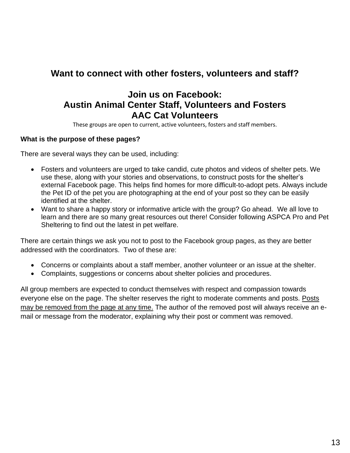## <span id="page-13-0"></span>**Want to connect with other fosters, volunteers and staff?**

## **Join us on Facebook: [Austin Animal Center](https://www.facebook.com/groups/AACvolunteersandstaff/) Staff, Volunteers and Fosters [AAC Cat Volunteers](https://www.facebook.com/groups/AACcatvolunteers/)**

These groups are open to current, active volunteers, fosters and staff members.

## **What is the purpose of these pages?**

There are several ways they can be used, including:

- Fosters and volunteers are urged to take candid, cute photos and videos of shelter pets. We use these, along with your stories and observations, to construct posts for the shelter's external Facebook page. This helps find homes for more difficult-to-adopt pets. Always include the Pet ID of the pet you are photographing at the end of your post so they can be easily identified at the shelter.
- Want to share a happy story or informative article with the group? Go ahead. We all love to learn and there are so many great resources out there! Consider following ASPCA Pro and Pet Sheltering to find out the latest in pet welfare.

There are certain things we ask you not to post to the Facebook group pages, as they are better addressed with the coordinators. Two of these are:

- Concerns or complaints about a staff member, another volunteer or an issue at the shelter.
- Complaints, suggestions or concerns about shelter policies and procedures.

All group members are expected to conduct themselves with respect and compassion towards everyone else on the page. The shelter reserves the right to moderate comments and posts. Posts may be removed from the page at any time. The author of the removed post will always receive an email or message from the moderator, explaining why their post or comment was removed.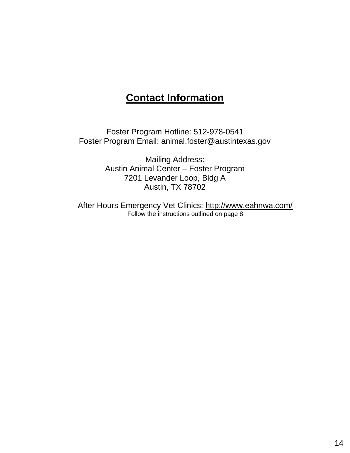## **Contact Information**

<span id="page-14-0"></span>Foster Program Hotline: 512-978-0541 Foster Program Email: [animal.foster@austintexas.gov](mailto:animal.foster@austintexas.gov)

> Mailing Address: Austin Animal Center – Foster Program 7201 Levander Loop, Bldg A Austin, TX 78702

After Hours Emergency Vet Clinics:<http://www.eahnwa.com/> Follow the instructions outlined on page 8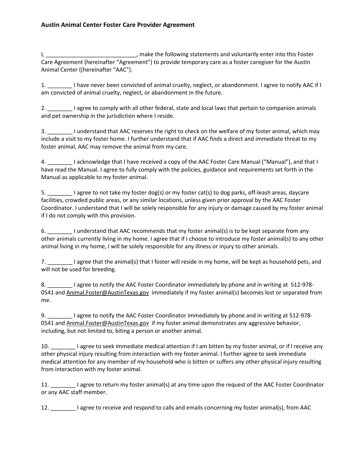I, \_\_\_\_\_\_\_\_\_\_\_\_\_\_\_\_\_\_\_\_\_\_\_\_\_\_\_\_\_\_\_, make the following statements and voluntarily enter into this Foster Care Agreement (hereinafter "Agreement") to provide temporary care as a foster caregiver for the Austin Animal Center ((hereinafter "AAC").

1. \_\_\_\_\_\_\_\_ I have never been convicted of animal cruelty, neglect, or abandonment. I agree to notify AAC if I am convicted of animal cruelty, neglect, or abandonment in the future.

2. \_\_\_\_\_\_\_\_ I agree to comply with all other federal, state and local laws that pertain to companion animals and pet ownership in the jurisdiction where I reside.

3. \_\_\_\_\_\_\_\_ I understand that AAC reserves the right to check on the welfare of my foster animal, which may include a visit to my foster home. I further understand that if AAC finds a direct and immediate threat to my foster animal, AAC may remove the animal from my care.

4. \_\_\_\_\_\_\_\_ I acknowledge that I have received a copy of the AAC Foster Care Manual ("Manual"), and that I have read the Manual. I agree to fully comply with the policies, guidance and requirements set forth in the Manual as applicable to my foster animal.

5. \_\_\_\_\_\_\_\_ I agree to not take my foster dog(s) or my foster cat(s) to dog parks, off-leash areas, daycare facilities, crowded public areas, or any similar locations, unless given prior approval by the AAC Foster Coordinator. I understand that I will be solely responsible for any injury or damage caused by my foster animal if I do not comply with this provision.

6. \_\_\_\_\_\_\_\_ I understand that AAC recommends that my foster animal(s) is to be kept separate from any other animals currently living in my home. I agree that if I choose to introduce my foster animal(s) to any other animal living in my home, I will be solely responsible for any illness or injury to other animals.

7. I agree that the animal(s) that I foster will reside in my home, will be kept as household pets, and will not be used for breeding.

8. \_\_\_\_\_\_\_\_ I agree to notify the AAC Foster Coordinator immediately by phone and in writing at 512-978-0541 and [Animal.Foster@AustinTexas.gov](mailto:Animal.Foster@AustinTexas.gov) immediately if my foster animal(s) becomes lost or separated from me.

9. Lagree to notify the AAC Foster Coordinator immediately by phone and in writing at 512-978-0541 and [Animal.Foster@AustinTexas.gov](mailto:Animal.Foster@AustinTexas.gov) if my foster animal demonstrates any aggressive behavior, including, but not limited to, biting a person or another animal.

10. \_\_\_\_\_\_\_\_ I agree to seek immediate medical attention if I am bitten by my foster animal, or if I receive any other physical injury resulting from interaction with my foster animal. I further agree to seek immediate medical attention for any member of my household who is bitten or suffers any other physical injury resulting from interaction with my foster animal.

11. \_\_\_\_\_\_\_\_ I agree to return my foster animal(s) at any time upon the request of the AAC Foster Coordinator or any AAC staff member.

12. \_\_\_\_\_\_\_\_ I agree to receive and respond to calls and emails concerning my foster animal(s), from AAC